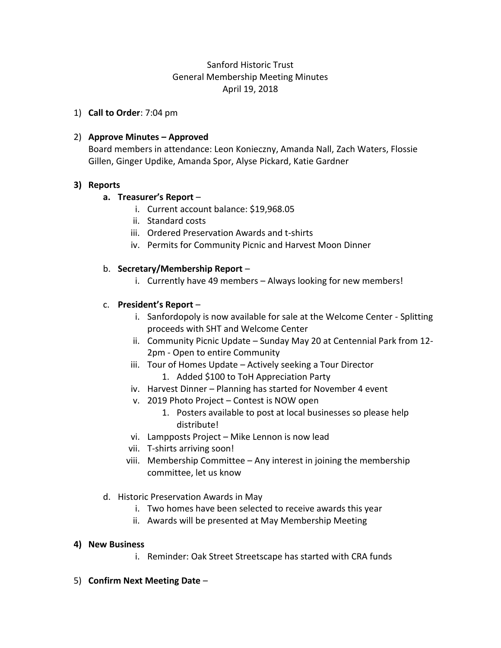## Sanford Historic Trust General Membership Meeting Minutes April 19, 2018

1) **Call to Order**: 7:04 pm

### 2) **Approve Minutes – Approved**

Board members in attendance: Leon Konieczny, Amanda Nall, Zach Waters, Flossie Gillen, Ginger Updike, Amanda Spor, Alyse Pickard, Katie Gardner

#### **3) Reports**

#### **a. Treasurer's Report** –

- i. Current account balance: \$19,968.05
- ii. Standard costs
- iii. Ordered Preservation Awards and t-shirts
- iv. Permits for Community Picnic and Harvest Moon Dinner

#### b. **Secretary/Membership Report** –

i. Currently have 49 members – Always looking for new members!

#### c. **President's Report** –

- i. Sanfordopoly is now available for sale at the Welcome Center Splitting proceeds with SHT and Welcome Center
- ii. Community Picnic Update Sunday May 20 at Centennial Park from 12- 2pm - Open to entire Community
- iii. Tour of Homes Update Actively seeking a Tour Director 1. Added \$100 to ToH Appreciation Party
- iv. Harvest Dinner Planning has started for November 4 event
- v. 2019 Photo Project Contest is NOW open
	- 1. Posters available to post at local businesses so please help distribute!
- vi. Lampposts Project Mike Lennon is now lead
- vii. T-shirts arriving soon!
- viii. Membership Committee Any interest in joining the membership committee, let us know
- d. Historic Preservation Awards in May
	- i. Two homes have been selected to receive awards this year
	- ii. Awards will be presented at May Membership Meeting

#### **4) New Business**

- i. Reminder: Oak Street Streetscape has started with CRA funds
- 5) **Confirm Next Meeting Date** –